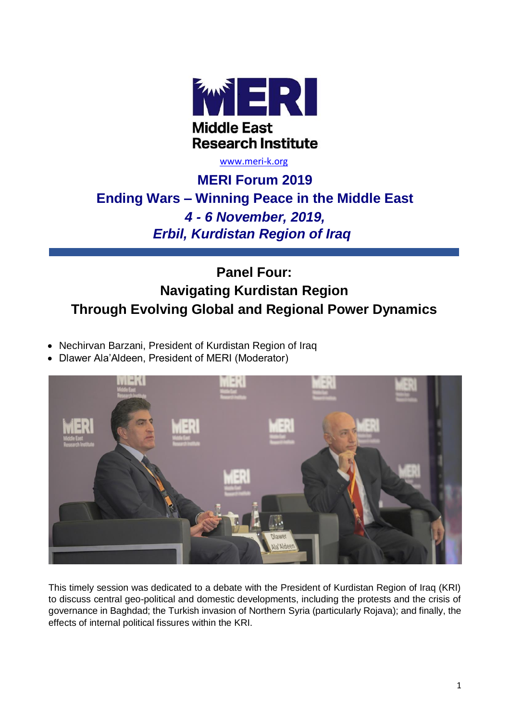

#### [www.meri-k.org](http://www.meri-k.org/)

# **MERI Forum 2019 Ending Wars – Winning Peace in the Middle East** *4 - 6 November, 2019, Erbil, Kurdistan Region of Iraq*

# **Panel Four: Navigating Kurdistan Region Through Evolving Global and Regional Power Dynamics**

- Nechirvan Barzani, President of Kurdistan Region of Iraq
- Dlawer Ala'Aldeen, President of MERI (Moderator)



This timely session was dedicated to a debate with the President of Kurdistan Region of Iraq (KRI) to discuss central geo-political and domestic developments, including the protests and the crisis of governance in Baghdad; the Turkish invasion of Northern Syria (particularly Rojava); and finally, the effects of internal political fissures within the KRI.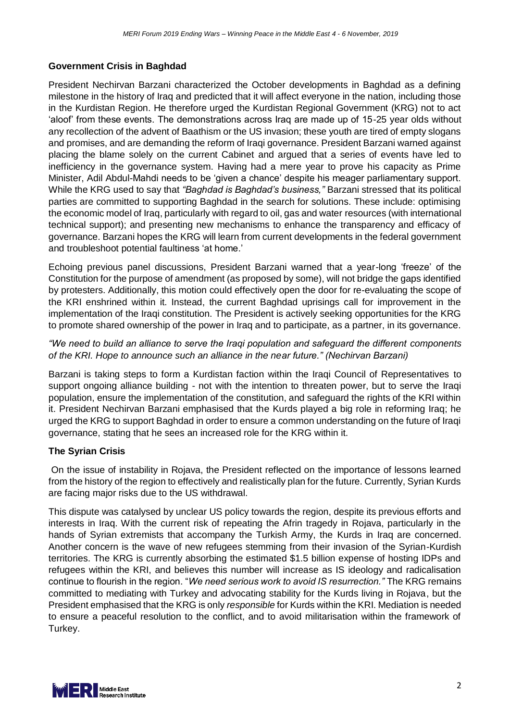# **Government Crisis in Baghdad**

President Nechirvan Barzani characterized the October developments in Baghdad as a defining milestone in the history of Iraq and predicted that it will affect everyone in the nation, including those in the Kurdistan Region. He therefore urged the Kurdistan Regional Government (KRG) not to act 'aloof' from these events. The demonstrations across Iraq are made up of 15-25 year olds without any recollection of the advent of Baathism or the US invasion; these youth are tired of empty slogans and promises, and are demanding the reform of Iraqi governance. President Barzani warned against placing the blame solely on the current Cabinet and argued that a series of events have led to inefficiency in the governance system. Having had a mere year to prove his capacity as Prime Minister, Adil Abdul-Mahdi needs to be 'given a chance' despite his meager parliamentary support. While the KRG used to say that *"Baghdad is Baghdad's business,"* Barzani stressed that its political parties are committed to supporting Baghdad in the search for solutions. These include: optimising the economic model of Iraq, particularly with regard to oil, gas and water resources (with international technical support); and presenting new mechanisms to enhance the transparency and efficacy of governance. Barzani hopes the KRG will learn from current developments in the federal government and troubleshoot potential faultiness 'at home.'

Echoing previous panel discussions, President Barzani warned that a year-long 'freeze' of the Constitution for the purpose of amendment (as proposed by some), will not bridge the gaps identified by protesters. Additionally, this motion could effectively open the door for re-evaluating the scope of the KRI enshrined within it. Instead, the current Baghdad uprisings call for improvement in the implementation of the Iraqi constitution. The President is actively seeking opportunities for the KRG to promote shared ownership of the power in Iraq and to participate, as a partner, in its governance.

# *"We need to build an alliance to serve the Iraqi population and safeguard the different components of the KRI. Hope to announce such an alliance in the near future." (Nechirvan Barzani)*

Barzani is taking steps to form a Kurdistan faction within the Iraqi Council of Representatives to support ongoing alliance building - not with the intention to threaten power, but to serve the Iraqi population, ensure the implementation of the constitution, and safeguard the rights of the KRI within it. President Nechirvan Barzani emphasised that the Kurds played a big role in reforming Iraq; he urged the KRG to support Baghdad in order to ensure a common understanding on the future of Iraqi governance, stating that he sees an increased role for the KRG within it.

# **The Syrian Crisis**

On the issue of instability in Rojava, the President reflected on the importance of lessons learned from the history of the region to effectively and realistically plan for the future. Currently, Syrian Kurds are facing major risks due to the US withdrawal.

This dispute was catalysed by unclear US policy towards the region, despite its previous efforts and interests in Iraq. With the current risk of repeating the Afrin tragedy in Rojava, particularly in the hands of Syrian extremists that accompany the Turkish Army, the Kurds in Iraq are concerned. Another concern is the wave of new refugees stemming from their invasion of the Syrian-Kurdish territories. The KRG is currently absorbing the estimated \$1.5 billion expense of hosting IDPs and refugees within the KRI, and believes this number will increase as IS ideology and radicalisation continue to flourish in the region. "*We need serious work to avoid IS resurrection."* The KRG remains committed to mediating with Turkey and advocating stability for the Kurds living in Rojava, but the President emphasised that the KRG is only *responsible* for Kurds within the KRI. Mediation is needed to ensure a peaceful resolution to the conflict, and to avoid militarisation within the framework of Turkey.